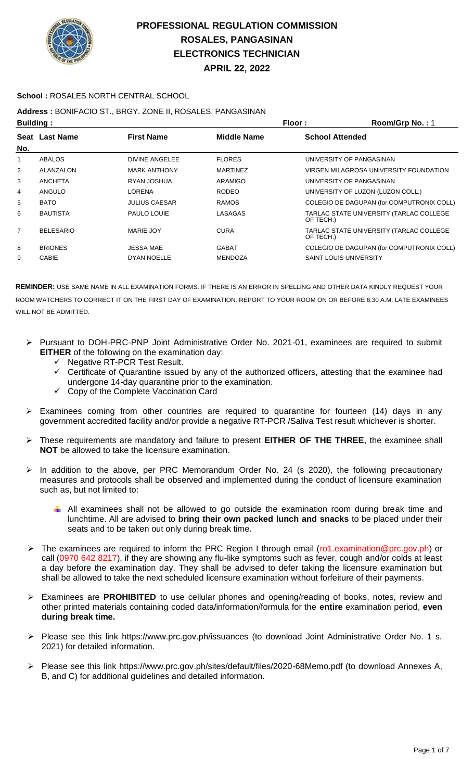

#### **School :** ROSALES NORTH CENTRAL SCHOOL

## **Address :** BONIFACIO ST., BRGY. ZONE II, ROSALES, PANGASINAN

| <b>Building:</b> |                  |                      | Floor:             | Room/Grp No.: 1                                      |
|------------------|------------------|----------------------|--------------------|------------------------------------------------------|
| No.              | Seat Last Name   | <b>First Name</b>    | <b>Middle Name</b> | <b>School Attended</b>                               |
|                  | ABALOS           | DIVINE ANGELEE       | <b>FLORES</b>      | UNIVERSITY OF PANGASINAN                             |
| $\overline{2}$   | ALANZALON        | <b>MARK ANTHONY</b>  | <b>MARTINEZ</b>    | VIRGEN MILAGROSA UNIVERSITY FOUNDATION               |
| 3                | <b>ANCHETA</b>   | RYAN JOSHUA          | ARAMIGO            | UNIVERSITY OF PANGASINAN                             |
| 4                | ANGULO           | LORENA               | <b>RODEO</b>       | UNIVERSITY OF LUZON (LUZON COLL.)                    |
| 5                | <b>BATO</b>      | <b>JULIUS CAESAR</b> | <b>RAMOS</b>       | COLEGIO DE DAGUPAN (for.COMPUTRONIX COLL)            |
| 6                | <b>BAUTISTA</b>  | PAULO LOUIE          | LASAGAS            | TARLAC STATE UNIVERSITY (TARLAC COLLEGE<br>OF TECH.) |
| $\overline{7}$   | <b>BELESARIO</b> | MARIE JOY            | <b>CURA</b>        | TARLAC STATE UNIVERSITY (TARLAC COLLEGE<br>OF TECH.) |
| 8                | <b>BRIONES</b>   | <b>JESSA MAE</b>     | <b>GABAT</b>       | COLEGIO DE DAGUPAN (for.COMPUTRONIX COLL)            |
| 9                | <b>CABIE</b>     | DYAN NOELLE          | <b>MENDOZA</b>     | <b>SAINT LOUIS UNIVERSITY</b>                        |
|                  |                  |                      |                    |                                                      |

- Pursuant to DOH-PRC-PNP Joint Administrative Order No. 2021-01, examinees are required to submit **EITHER** of the following on the examination day:
	- V Negative RT-PCR Test Result.<br>V Certificate of Quarantine issue
	- Certificate of Quarantine issued by any of the authorized officers, attesting that the examinee had undergone 14-day quarantine prior to the examination.
	- $\checkmark$  Copy of the Complete Vaccination Card
- $\triangleright$  Examinees coming from other countries are required to quarantine for fourteen (14) days in any government accredited facility and/or provide a negative RT-PCR /Saliva Test result whichever is shorter.
- These requirements are mandatory and failure to present **EITHER OF THE THREE**, the examinee shall **NOT** be allowed to take the licensure examination.
- > In addition to the above, per PRC Memorandum Order No. 24 (s 2020), the following precautionary measures and protocols shall be observed and implemented during the conduct of licensure examination such as, but not limited to:
	- $\downarrow$  All examinees shall not be allowed to go outside the examination room during break time and lunchtime. All are advised to **bring their own packed lunch and snacks** to be placed under their seats and to be taken out only during break time.
- $\triangleright$  The examinees are required to inform the PRC Region I through email (ro1.examination@prc.gov.ph) or call (0970 642 8217), if they are showing any flu-like symptoms such as fever, cough and/or colds at least a day before the examination day. They shall be advised to defer taking the licensure examination but shall be allowed to take the next scheduled licensure examination without forfeiture of their payments.
- Examinees are **PROHIBITED** to use cellular phones and opening/reading of books, notes, review and other printed materials containing coded data/information/formula for the **entire** examination period, **even during break time.**
- Please see this link https://www.prc.gov.ph/issuances (to download Joint Administrative Order No. 1 s. 2021) for detailed information.
- Please see this link https://www.prc.gov.ph/sites/default/files/2020-68Memo.pdf (to download Annexes A, B, and C) for additional guidelines and detailed information.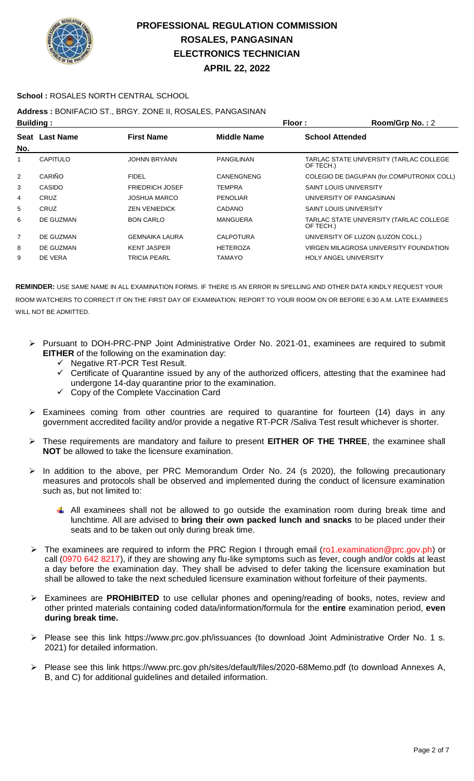

### **School :** ROSALES NORTH CENTRAL SCHOOL

## **Address :** BONIFACIO ST., BRGY. ZONE II, ROSALES, PANGASINAN

| <b>Building:</b> |                |                        | Floor:             | Room/Grp No.: 2                                      |
|------------------|----------------|------------------------|--------------------|------------------------------------------------------|
| No.              | Seat Last Name | <b>First Name</b>      | <b>Middle Name</b> | <b>School Attended</b>                               |
|                  | CAPITULO       | <b>JOHNN BRYANN</b>    | PANGILINAN         | TARLAC STATE UNIVERSITY (TARLAC COLLEGE<br>OF TECH.) |
| 2                | CARIÑO         | <b>FIDEL</b>           | <b>CANENGNENG</b>  | COLEGIO DE DAGUPAN (for.COMPUTRONIX COLL)            |
| 3                | CASIDO         | <b>FRIEDRICH JOSEF</b> | <b>TEMPRA</b>      | <b>SAINT LOUIS UNIVERSITY</b>                        |
| 4                | <b>CRUZ</b>    | <b>JOSHUA MARCO</b>    | <b>PENOLIAR</b>    | UNIVERSITY OF PANGASINAN                             |
| 5                | CRUZ           | <b>ZEN VENIEDICK</b>   | <b>CADANO</b>      | <b>SAINT LOUIS UNIVERSITY</b>                        |
| 6                | DE GUZMAN      | <b>BON CARLO</b>       | <b>MANGUERA</b>    | TARLAC STATE UNIVERSITY (TARLAC COLLEGE<br>OF TECH.) |
| $\overline{7}$   | DE GUZMAN      | <b>GEMNAIKA LAURA</b>  | <b>CALPOTURA</b>   | UNIVERSITY OF LUZON (LUZON COLL.)                    |
| 8                | DE GUZMAN      | <b>KENT JASPER</b>     | <b>HETEROZA</b>    | VIRGEN MILAGROSA UNIVERSITY FOUNDATION               |
| 9                | DE VERA        | TRICIA PEARL           | TAMAYO             | <b>HOLY ANGEL UNIVERSITY</b>                         |

- Pursuant to DOH-PRC-PNP Joint Administrative Order No. 2021-01, examinees are required to submit **EITHER** of the following on the examination day:
	- $\checkmark$  Negative RT-PCR Test Result.
	- $\checkmark$  Certificate of Quarantine issued by any of the authorized officers, attesting that the examinee had undergone 14-day quarantine prior to the examination.
	- $\checkmark$  Copy of the Complete Vaccination Card
- $\triangleright$  Examinees coming from other countries are required to quarantine for fourteen (14) days in any government accredited facility and/or provide a negative RT-PCR /Saliva Test result whichever is shorter.
- These requirements are mandatory and failure to present **EITHER OF THE THREE**, the examinee shall **NOT** be allowed to take the licensure examination.
- In addition to the above, per PRC Memorandum Order No. 24 (s 2020), the following precautionary measures and protocols shall be observed and implemented during the conduct of licensure examination such as, but not limited to:
	- $\downarrow$  All examinees shall not be allowed to go outside the examination room during break time and lunchtime. All are advised to **bring their own packed lunch and snacks** to be placed under their seats and to be taken out only during break time.
- The examinees are required to inform the PRC Region I through email (ro1.examination@prc.gov.ph) or call (0970 642 8217), if they are showing any flu-like symptoms such as fever, cough and/or colds at least a day before the examination day. They shall be advised to defer taking the licensure examination but shall be allowed to take the next scheduled licensure examination without forfeiture of their payments.
- Examinees are **PROHIBITED** to use cellular phones and opening/reading of books, notes, review and other printed materials containing coded data/information/formula for the **entire** examination period, **even during break time.**
- Please see this link https://www.prc.gov.ph/issuances (to download Joint Administrative Order No. 1 s. 2021) for detailed information.
- Please see this link https://www.prc.gov.ph/sites/default/files/2020-68Memo.pdf (to download Annexes A, B, and C) for additional guidelines and detailed information.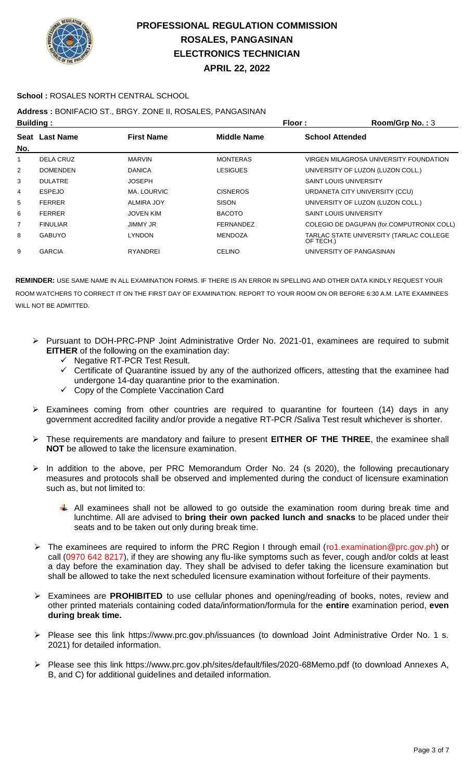

#### **School :** ROSALES NORTH CENTRAL SCHOOL

## **Address :** BONIFACIO ST., BRGY. ZONE II, ROSALES, PANGASINAN

| <b>Building:</b> |                 |                   |                  | Floor:<br>Room/Grp No.: 3                            |  |
|------------------|-----------------|-------------------|------------------|------------------------------------------------------|--|
|                  | Seat Last Name  | <b>First Name</b> | Middle Name      | <b>School Attended</b>                               |  |
| No.              |                 |                   |                  |                                                      |  |
| 1                | DELA CRUZ       | <b>MARVIN</b>     | <b>MONTERAS</b>  | VIRGEN MILAGROSA UNIVERSITY FOUNDATION               |  |
| $\overline{2}$   | <b>DOMENDEN</b> | <b>DANICA</b>     | LESIGUES         | UNIVERSITY OF LUZON (LUZON COLL.)                    |  |
| 3                | <b>DULATRE</b>  | <b>JOSEPH</b>     |                  | <b>SAINT LOUIS UNIVERSITY</b>                        |  |
| 4                | <b>ESPEJO</b>   | MA. LOURVIC       | <b>CISNEROS</b>  | URDANETA CITY UNIVERSITY (CCU)                       |  |
| 5                | <b>FERRER</b>   | ALMIRA JOY        | <b>SISON</b>     | UNIVERSITY OF LUZON (LUZON COLL.)                    |  |
| 6                | <b>FERRER</b>   | JOVEN KIM         | <b>BACOTO</b>    | <b>SAINT LOUIS UNIVERSITY</b>                        |  |
| 7                | <b>FINULIAR</b> | <b>JIMMY JR</b>   | <b>FERNANDEZ</b> | COLEGIO DE DAGUPAN (for.COMPUTRONIX COLL)            |  |
| 8                | <b>GABUYO</b>   | <b>LYNDON</b>     | <b>MENDOZA</b>   | TARLAC STATE UNIVERSITY (TARLAC COLLEGE<br>OF TECH.) |  |
| 9                | <b>GARCIA</b>   | <b>RYANDREI</b>   | <b>CELINO</b>    | UNIVERSITY OF PANGASINAN                             |  |

- Pursuant to DOH-PRC-PNP Joint Administrative Order No. 2021-01, examinees are required to submit **EITHER** of the following on the examination day:
	- $\checkmark$  Negative RT-PCR Test Result.
	- $\checkmark$  Certificate of Quarantine issued by any of the authorized officers, attesting that the examinee had undergone 14-day quarantine prior to the examination.
	- $\checkmark$  Copy of the Complete Vaccination Card
- $\triangleright$  Examinees coming from other countries are required to quarantine for fourteen (14) days in any government accredited facility and/or provide a negative RT-PCR /Saliva Test result whichever is shorter.
- These requirements are mandatory and failure to present **EITHER OF THE THREE**, the examinee shall **NOT** be allowed to take the licensure examination.
- $\triangleright$  In addition to the above, per PRC Memorandum Order No. 24 (s 2020), the following precautionary measures and protocols shall be observed and implemented during the conduct of licensure examination such as, but not limited to:
	- $\downarrow$  All examinees shall not be allowed to go outside the examination room during break time and lunchtime. All are advised to **bring their own packed lunch and snacks** to be placed under their seats and to be taken out only during break time.
- $\triangleright$  The examinees are required to inform the PRC Region I through email (ro1.examination@prc.gov.ph) or call (0970 642 8217), if they are showing any flu-like symptoms such as fever, cough and/or colds at least a day before the examination day. They shall be advised to defer taking the licensure examination but shall be allowed to take the next scheduled licensure examination without forfeiture of their payments.
- Examinees are **PROHIBITED** to use cellular phones and opening/reading of books, notes, review and other printed materials containing coded data/information/formula for the **entire** examination period, **even during break time.**
- Please see this link https://www.prc.gov.ph/issuances (to download Joint Administrative Order No. 1 s. 2021) for detailed information.
- Please see this link https://www.prc.gov.ph/sites/default/files/2020-68Memo.pdf (to download Annexes A, B, and C) for additional guidelines and detailed information.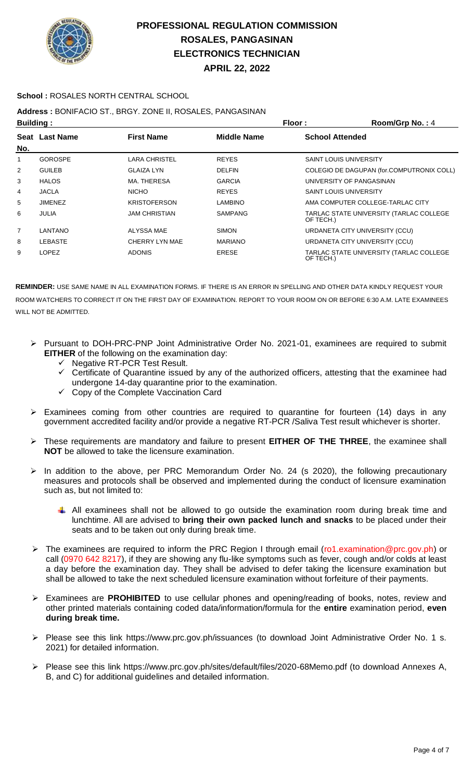

**APRIL 22, 2022**

## **School :** ROSALES NORTH CENTRAL SCHOOL

## **Address :** BONIFACIO ST., BRGY. ZONE II, ROSALES, PANGASINAN

| <b>Building:</b> |                |                      | Floor:             | Room/Grp No.: 4                                      |
|------------------|----------------|----------------------|--------------------|------------------------------------------------------|
| No.              | Seat Last Name | <b>First Name</b>    | <b>Middle Name</b> | <b>School Attended</b>                               |
| 1                | <b>GOROSPE</b> | LARA CHRISTEL        | <b>REYES</b>       | <b>SAINT LOUIS UNIVERSITY</b>                        |
| 2                | <b>GUILEB</b>  | <b>GLAIZA LYN</b>    | <b>DELFIN</b>      | COLEGIO DE DAGUPAN (for.COMPUTRONIX COLL)            |
| 3                | <b>HALOS</b>   | MA. THERESA          | <b>GARCIA</b>      | UNIVERSITY OF PANGASINAN                             |
| 4                | <b>JACLA</b>   | <b>NICHO</b>         | <b>REYES</b>       | <b>SAINT LOUIS UNIVERSITY</b>                        |
| 5                | <b>JIMENEZ</b> | <b>KRISTOFERSON</b>  | <b>LAMBINO</b>     | AMA COMPUTER COLLEGE-TARLAC CITY                     |
| 6                | JULIA          | <b>JAM CHRISTIAN</b> | <b>SAMPANG</b>     | TARLAC STATE UNIVERSITY (TARLAC COLLEGE<br>OF TECH.) |
| 7                | LANTANO        | ALYSSA MAE           | <b>SIMON</b>       | URDANETA CITY UNIVERSITY (CCU)                       |
| 8                | LEBASTE        | CHERRY LYN MAE       | <b>MARIANO</b>     | URDANETA CITY UNIVERSITY (CCU)                       |
| 9                | <b>LOPEZ</b>   | <b>ADONIS</b>        | <b>ERESE</b>       | TARLAC STATE UNIVERSITY (TARLAC COLLEGE<br>OF TECH.) |

- Pursuant to DOH-PRC-PNP Joint Administrative Order No. 2021-01, examinees are required to submit **EITHER** of the following on the examination day:
	- $\checkmark$  Negative RT-PCR Test Result.
	- $\checkmark$  Certificate of Quarantine issued by any of the authorized officers, attesting that the examinee had undergone 14-day quarantine prior to the examination.
	- $\checkmark$  Copy of the Complete Vaccination Card
- $\triangleright$  Examinees coming from other countries are required to quarantine for fourteen (14) days in any government accredited facility and/or provide a negative RT-PCR /Saliva Test result whichever is shorter.
- These requirements are mandatory and failure to present **EITHER OF THE THREE**, the examinee shall **NOT** be allowed to take the licensure examination.
- $\triangleright$  In addition to the above, per PRC Memorandum Order No. 24 (s 2020), the following precautionary measures and protocols shall be observed and implemented during the conduct of licensure examination such as, but not limited to:
	- All examinees shall not be allowed to go outside the examination room during break time and lunchtime. All are advised to **bring their own packed lunch and snacks** to be placed under their seats and to be taken out only during break time.
- ▶ The examinees are required to inform the PRC Region I through email (ro1.examination@prc.gov.ph) or call (0970 642 8217), if they are showing any flu-like symptoms such as fever, cough and/or colds at least a day before the examination day. They shall be advised to defer taking the licensure examination but shall be allowed to take the next scheduled licensure examination without forfeiture of their payments.
- Examinees are **PROHIBITED** to use cellular phones and opening/reading of books, notes, review and other printed materials containing coded data/information/formula for the **entire** examination period, **even during break time.**
- Please see this link https://www.prc.gov.ph/issuances (to download Joint Administrative Order No. 1 s. 2021) for detailed information.
- Please see this link https://www.prc.gov.ph/sites/default/files/2020-68Memo.pdf (to download Annexes A, B, and C) for additional guidelines and detailed information.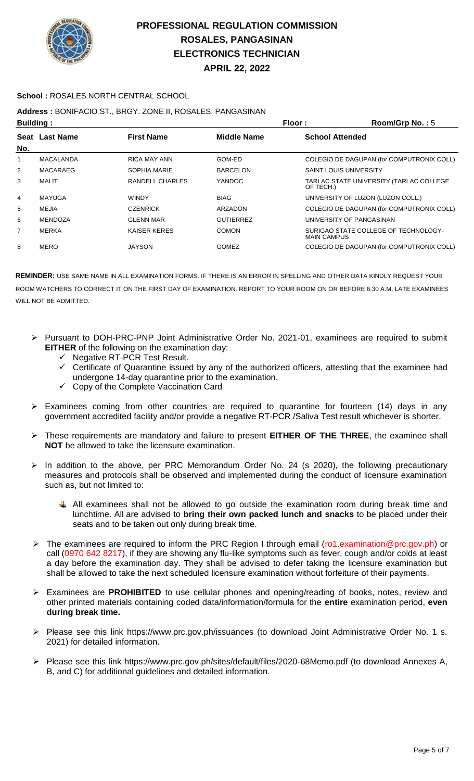

### **School :** ROSALES NORTH CENTRAL SCHOOL

## **Address :** BONIFACIO ST., BRGY. ZONE II, ROSALES, PANGASINAN

| <b>Building:</b> |                  |                     | Floor:           | Room/Grp No.: 5                                            |
|------------------|------------------|---------------------|------------------|------------------------------------------------------------|
|                  | Seat Last Name   | <b>First Name</b>   | Middle Name      | <b>School Attended</b>                                     |
| No.              |                  |                     |                  |                                                            |
| 1                | <b>MACALANDA</b> | <b>RICA MAY ANN</b> | GOM-ED           | COLEGIO DE DAGUPAN (for.COMPUTRONIX COLL)                  |
| 2                | MACARAEG         | SOPHIA MARIE        | <b>BARCELON</b>  | <b>SAINT LOUIS UNIVERSITY</b>                              |
| 3                | MALIT            | RANDELL CHARLES     | <b>YANDOC</b>    | TARLAC STATE UNIVERSITY (TARLAC COLLEGE<br>OF TECH.)       |
| 4                | MAYUGA           | <b>WINDY</b>        | <b>BIAG</b>      | UNIVERSITY OF LUZON (LUZON COLL.)                          |
| 5                | MEJIA            | <b>CZENRICK</b>     | ARZADON          | COLEGIO DE DAGUPAN (for.COMPUTRONIX COLL)                  |
| 6                | <b>MENDOZA</b>   | <b>GLENN MAR</b>    | <b>GUTIERREZ</b> | UNIVERSITY OF PANGASINAN                                   |
| $\overline{7}$   | MERKA            | <b>KAISER KERES</b> | <b>COMON</b>     | SURIGAO STATE COLLEGE OF TECHNOLOGY-<br><b>MAIN CAMPUS</b> |
| 8                | <b>MERO</b>      | JAYSON              | <b>GOMEZ</b>     | COLEGIO DE DAGUPAN (for.COMPUTRONIX COLL)                  |

- Pursuant to DOH-PRC-PNP Joint Administrative Order No. 2021-01, examinees are required to submit **EITHER** of the following on the examination day:
	- $\checkmark$  Negative RT-PCR Test Result.
	- $\checkmark$  Certificate of Quarantine issued by any of the authorized officers, attesting that the examinee had undergone 14-day quarantine prior to the examination.
	- $\checkmark$  Copy of the Complete Vaccination Card
- $\triangleright$  Examinees coming from other countries are required to quarantine for fourteen (14) days in any government accredited facility and/or provide a negative RT-PCR /Saliva Test result whichever is shorter.
- These requirements are mandatory and failure to present **EITHER OF THE THREE**, the examinee shall **NOT** be allowed to take the licensure examination.
- $\triangleright$  In addition to the above, per PRC Memorandum Order No. 24 (s 2020), the following precautionary measures and protocols shall be observed and implemented during the conduct of licensure examination such as, but not limited to:
	- $\downarrow$  All examinees shall not be allowed to go outside the examination room during break time and lunchtime. All are advised to **bring their own packed lunch and snacks** to be placed under their seats and to be taken out only during break time.
- ▶ The examinees are required to inform the PRC Region I through email (ro1.examination@prc.gov.ph) or call (0970 642 8217), if they are showing any flu-like symptoms such as fever, cough and/or colds at least a day before the examination day. They shall be advised to defer taking the licensure examination but shall be allowed to take the next scheduled licensure examination without forfeiture of their payments.
- Examinees are **PROHIBITED** to use cellular phones and opening/reading of books, notes, review and other printed materials containing coded data/information/formula for the **entire** examination period, **even during break time.**
- Please see this link https://www.prc.gov.ph/issuances (to download Joint Administrative Order No. 1 s. 2021) for detailed information.
- Please see this link https://www.prc.gov.ph/sites/default/files/2020-68Memo.pdf (to download Annexes A, B, and C) for additional guidelines and detailed information.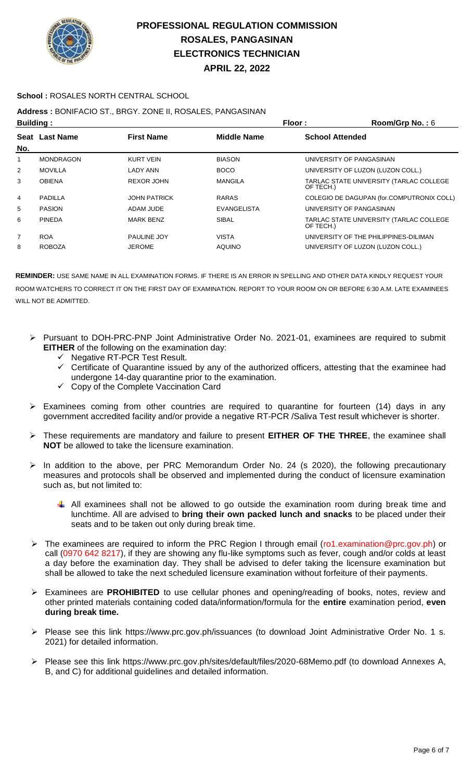

### **School :** ROSALES NORTH CENTRAL SCHOOL

## **Address :** BONIFACIO ST., BRGY. ZONE II, ROSALES, PANGASINAN

| <b>Building:</b> |                  |                     | Floor:             | Room/Grp No.: $6$                                    |
|------------------|------------------|---------------------|--------------------|------------------------------------------------------|
|                  | Seat Last Name   | <b>First Name</b>   | <b>Middle Name</b> | <b>School Attended</b>                               |
| No.              |                  |                     |                    |                                                      |
| 1                | <b>MONDRAGON</b> | KURT VEIN           | <b>BIASON</b>      | UNIVERSITY OF PANGASINAN                             |
| 2                | <b>MOVILLA</b>   | LADY ANN            | <b>BOCO</b>        | UNIVERSITY OF LUZON (LUZON COLL.)                    |
| 3                | <b>OBIENA</b>    | <b>REXOR JOHN</b>   | <b>MANGILA</b>     | TARLAC STATE UNIVERSITY (TARLAC COLLEGE<br>OF TECH.) |
| 4                | PADILLA          | <b>JOHN PATRICK</b> | <b>RARAS</b>       | COLEGIO DE DAGUPAN (for.COMPUTRONIX COLL)            |
| 5                | <b>PASION</b>    | ADAM JUDE           | <b>EVANGELISTA</b> | UNIVERSITY OF PANGASINAN                             |
| 6                | <b>PINEDA</b>    | <b>MARK BENZ</b>    | <b>SIBAL</b>       | TARLAC STATE UNIVERSITY (TARLAC COLLEGE<br>OF TECH.) |
| $\overline{7}$   | <b>ROA</b>       | <b>PAULINE JOY</b>  | <b>VISTA</b>       | UNIVERSITY OF THE PHILIPPINES-DILIMAN                |
| 8                | <b>ROBOZA</b>    | <b>JEROME</b>       | <b>AQUINO</b>      | UNIVERSITY OF LUZON (LUZON COLL.)                    |
|                  |                  |                     |                    |                                                      |

- Pursuant to DOH-PRC-PNP Joint Administrative Order No. 2021-01, examinees are required to submit **EITHER** of the following on the examination day:
	- $\checkmark$  Negative RT-PCR Test Result.
	- $\checkmark$  Certificate of Quarantine issued by any of the authorized officers, attesting that the examinee had undergone 14-day quarantine prior to the examination.
	- $\checkmark$  Copy of the Complete Vaccination Card
- $\triangleright$  Examinees coming from other countries are required to quarantine for fourteen (14) days in any government accredited facility and/or provide a negative RT-PCR /Saliva Test result whichever is shorter.
- These requirements are mandatory and failure to present **EITHER OF THE THREE**, the examinee shall **NOT** be allowed to take the licensure examination.
- In addition to the above, per PRC Memorandum Order No. 24 (s 2020), the following precautionary measures and protocols shall be observed and implemented during the conduct of licensure examination such as, but not limited to:
	- $\downarrow$  All examinees shall not be allowed to go outside the examination room during break time and lunchtime. All are advised to **bring their own packed lunch and snacks** to be placed under their seats and to be taken out only during break time.
- The examinees are required to inform the PRC Region I through email (ro1.examination@prc.gov.ph) or call (0970 642 8217), if they are showing any flu-like symptoms such as fever, cough and/or colds at least a day before the examination day. They shall be advised to defer taking the licensure examination but shall be allowed to take the next scheduled licensure examination without forfeiture of their payments.
- Examinees are **PROHIBITED** to use cellular phones and opening/reading of books, notes, review and other printed materials containing coded data/information/formula for the **entire** examination period, **even during break time.**
- Please see this link https://www.prc.gov.ph/issuances (to download Joint Administrative Order No. 1 s. 2021) for detailed information.
- Please see this link https://www.prc.gov.ph/sites/default/files/2020-68Memo.pdf (to download Annexes A, B, and C) for additional guidelines and detailed information.